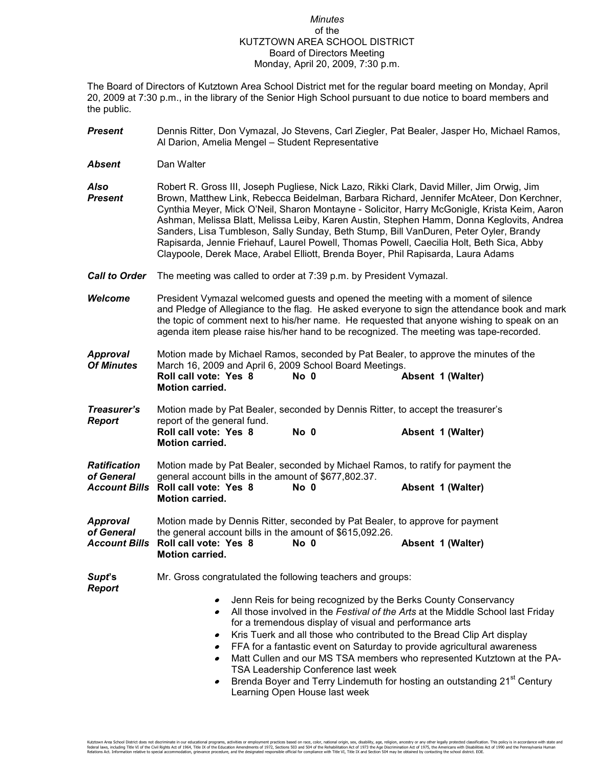## *Minutes* of the KUTZTOWN AREA SCHOOL DISTRICT Board of Directors Meeting Monday, April 20, 2009, 7:30 p.m.

The Board of Directors of Kutztown Area School District met for the regular board meeting on Monday, April 20, 2009 at 7:30 p.m., in the library of the Senior High School pursuant to due notice to board members and the public.

- *Present* Dennis Ritter, Don Vymazal, Jo Stevens, Carl Ziegler, Pat Bealer, Jasper Ho, Michael Ramos, Al Darion, Amelia Mengel – Student Representative
- *Absent* Dan Walter

*Report* 

*Also* Robert R. Gross III, Joseph Pugliese, Nick Lazo, Rikki Clark, David Miller, Jim Orwig, Jim *Present* Brown, Matthew Link, Rebecca Beidelman, Barbara Richard, Jennifer McAteer, Don Kerchner, Cynthia Meyer, Mick O'Neil, Sharon Montayne - Solicitor, Harry McGonigle, Krista Keim, Aaron Ashman, Melissa Blatt, Melissa Leiby, Karen Austin, Stephen Hamm, Donna Keglovits, Andrea Sanders, Lisa Tumbleson, Sally Sunday, Beth Stump, Bill VanDuren, Peter Oyler, Brandy Rapisarda, Jennie Friehauf, Laurel Powell, Thomas Powell, Caecilia Holt, Beth Sica, Abby Claypoole, Derek Mace, Arabel Elliott, Brenda Boyer, Phil Rapisarda, Laura Adams

- *Call to Order* The meeting was called to order at 7:39 p.m. by President Vymazal.
- **Welcome** President Vymazal welcomed guests and opened the meeting with a moment of silence and Pledge of Allegiance to the flag. He asked everyone to sign the attendance book and mark the topic of comment next to his/her name. He requested that anyone wishing to speak on an agenda item please raise his/her hand to be recognized. The meeting was tape-recorded.
- **Approval** Motion made by Michael Ramos, seconded by Pat Bealer, to approve the minutes of the **Of Minutes** March 16, 2009 and April 6, 2009 School Board Meetings. *March 16, 2009 and April 6, 2009 School Board Meetings.* Roll call vote: Yes 8 No 0 Absent 1 (Walter) **Motion carried.**
- *Treasurer's* Motion made by Pat Bealer, seconded by Dennis Ritter, to accept the treasurer's **Report report** of the general fund.<br>**Roll call vote: Yes 8 No 0 Absent 1 (Walter) Motion carried.**
- *Ratification* Motion made by Pat Bealer, seconded by Michael Ramos, to ratify for payment the of General general account bills in the amount of \$677,802.37.<br>Account Bills Roll call vote: Yes 8 No 0 *Account Bills* **Roll call vote: Yes 8 No 0 Absent 1 (Walter) Motion carried.**

| Approval   |                                                          |      | Motion made by Dennis Ritter, seconded by Pat Bealer, to approve for payment |  |
|------------|----------------------------------------------------------|------|------------------------------------------------------------------------------|--|
| of General | the general account bills in the amount of \$615,092.26. |      |                                                                              |  |
|            | Account Bills Roll call vote: Yes 8                      | No 0 | Absent 1 (Walter)                                                            |  |
|            | <b>Motion carried.</b>                                   |      |                                                                              |  |

**Supt's** Mr. Gross congratulated the following teachers and groups:

- Jenn Reis for being recognized by the Berks County Conservancy
- All those involved in the *Festival of the Arts* at the Middle School last Friday for a tremendous display of visual and performance arts
- Kris Tuerk and all those who contributed to the Bread Clip Art display
- FFA for a fantastic event on Saturday to provide agricultural awareness
- Matt Cullen and our MS TSA members who represented Kutztown at the PA-TSA Leadership Conference last week
- Brenda Boyer and Terry Lindemuth for hosting an outstanding  $21<sup>st</sup>$  Century Learning Open House last week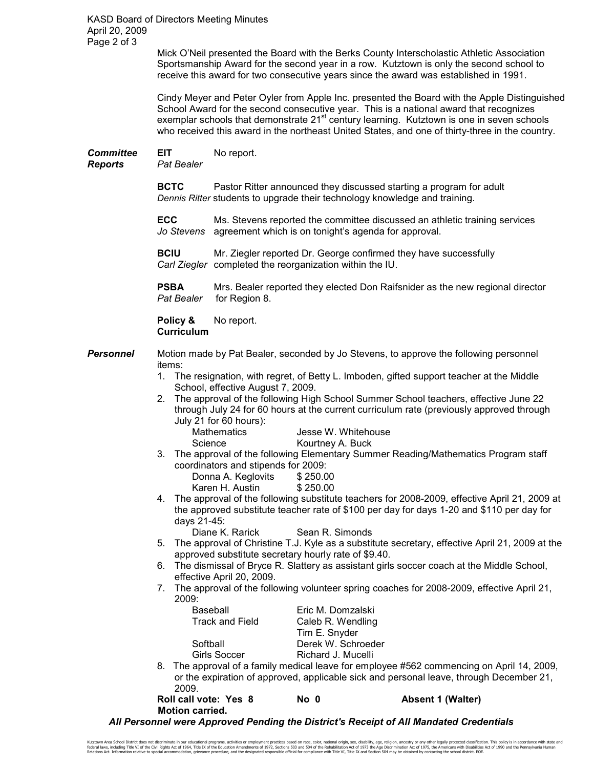KASD Board of Directors Meeting Minutes April 20, 2009 Page 2 of 3

> Mick O'Neil presented the Board with the Berks County Interscholastic Athletic Association Sportsmanship Award for the second year in a row. Kutztown is only the second school to receive this award for two consecutive years since the award was established in 1991.

Cindy Meyer and Peter Oyler from Apple Inc. presented the Board with the Apple Distinguished School Award for the second consecutive year. This is a national award that recognizes exemplar schools that demonstrate 21<sup>st</sup> century learning. Kutztown is one in seven schools who received this award in the northeast United States, and one of thirty-three in the country.

**Committee EIT** No report.

*Reports Pat Bealer* 

**BCTC** Pastor Ritter announced they discussed starting a program for adult *Dennis Ritter* students to upgrade their technology knowledge and training.

**ECC** Ms. Stevens reported the committee discussed an athletic training services *Jo Stevens* agreement which is on tonight's agenda for approval.

**BCIU** Mr. Ziegler reported Dr. George confirmed they have successfully *Carl Ziegler* completed the reorganization within the IU.

**PSBA** Mrs. Bealer reported they elected Don Raifsnider as the new regional director *Pat Bealer* for Region 8. **for Region 8.** 

Policy & No report. **Curriculum**

- **Personnel** Motion made by Pat Bealer, seconded by Jo Stevens, to approve the following personnel items:
	- 1. The resignation, with regret, of Betty L. Imboden, gifted support teacher at the Middle School, effective August 7, 2009.
	- 2. The approval of the following High School Summer School teachers, effective June 22 through July 24 for 60 hours at the current curriculum rate (previously approved through July 21 for 60 hours):

| Mathematics | Jesse W. Whitehouse |
|-------------|---------------------|
| Science     | Kourtney A. Buck    |

3. The approval of the following Elementary Summer Reading/Mathematics Program staff coordinators and stipends for 2009:

| Donna A. Keglovits | \$250.00 |
|--------------------|----------|
| Karen H. Austin    | \$250.00 |

4. The approval of the following substitute teachers for 2008-2009, effective April 21, 2009 at the approved substitute teacher rate of \$100 per day for days 1-20 and \$110 per day for days 21-45:

Diane K. Rarick Sean R. Simonds

- 5. The approval of Christine T.J. Kyle as a substitute secretary, effective April 21, 2009 at the approved substitute secretary hourly rate of \$9.40.
- 6. The dismissal of Bryce R. Slattery as assistant girls soccer coach at the Middle School, effective April 20, 2009.
- 7. The approval of the following volunteer spring coaches for 2008-2009, effective April 21, 2009:

| Eric M. Domzalski  |
|--------------------|
| Caleb R. Wendling  |
| Tim E. Snyder      |
| Derek W. Schroeder |
| Richard J. Mucelli |
|                    |

8. The approval of a family medical leave for employee #562 commencing on April 14, 2009, or the expiration of approved, applicable sick and personal leave, through December 21, 2009.

| Roll call vote: Yes 8  | No 0 | <b>Absent 1 (Walter)</b> |
|------------------------|------|--------------------------|
| <b>Motion carried.</b> |      |                          |

 *All Personnel were Approved Pending the District's Receipt of All Mandated Credentials*